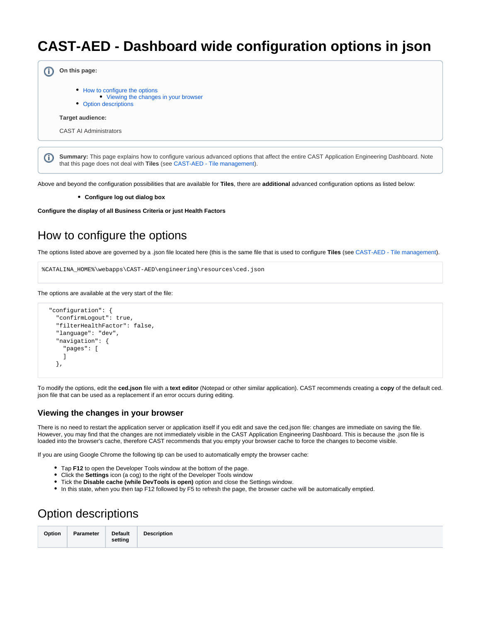## **CAST-AED - Dashboard wide configuration options in json**

|   | On this page:                                                                                                                                                                                                                 |  |
|---|-------------------------------------------------------------------------------------------------------------------------------------------------------------------------------------------------------------------------------|--|
|   | • How to configure the options<br>• Viewing the changes in your browser<br>• Option descriptions                                                                                                                              |  |
|   | Target audience:                                                                                                                                                                                                              |  |
|   | <b>CAST AI Administrators</b>                                                                                                                                                                                                 |  |
| O | Summary: This page explains how to configure various advanced options that affect the entire CAST Application Engineering Dashboard. Note<br>that this page does not deal with <b>Tiles</b> (see CAST-AED - Tile management). |  |

Above and beyond the configuration possibilities that are available for **Tiles**, there are **additional** advanced configuration options as listed below:

**Configure log out dialog box**

**Configure the display of all Business Criteria or just Health Factors**

## <span id="page-0-0"></span>How to configure the options

The options listed above are governed by a .json file located here (this is the same file that is used to configure **Tiles** (see [CAST-AED - Tile management](https://doc.castsoftware.com/display/DOC82/CAST-AED+-+Tile+management)).

```
%CATALINA_HOME%\webapps\CAST-AED\engineering\resources\ced.json
```
The options are available at the very start of the file:

```
 "configuration": {
"confirmLogout": true,
"filterHealthFactor": false,
"language": "dev",
"navigation": {
  "pages": [
  ]
},
```
To modify the options, edit the **ced.json** file with a **text editor** (Notepad or other similar application). CAST recommends creating a **copy** of the default ced. json file that can be used as a replacement if an error occurs during editing.

## <span id="page-0-1"></span>**Viewing the changes in your browser**

There is no need to restart the application server or application itself if you edit and save the ced.json file: changes are immediate on saving the file. However, you may find that the changes are not immediately visible in the CAST Application Engineering Dashboard. This is because the .json file is loaded into the browser's cache, therefore CAST recommends that you empty your browser cache to force the changes to become visible.

If you are using Google Chrome the following tip can be used to automatically empty the browser cache:

- Tap **F12** to open the Developer Tools window at the bottom of the page.
- Click the **Settings** icon (a cog) to the right of the Developer Tools window
- Tick the **Disable cache (while DevTools is open)** option and close the Settings window.
- In this state, when you then tap F12 followed by F5 to refresh the page, the browser cache will be automatically emptied.

## <span id="page-0-2"></span>Option descriptions

| Option | Parameter | <b>Default</b> | <b>Description</b> |
|--------|-----------|----------------|--------------------|
|        |           | setting        |                    |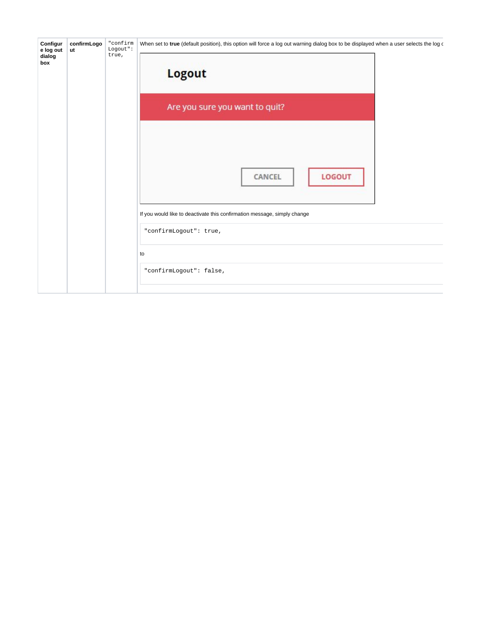| Configur<br>e log out<br>dialog<br>box | confirmLogo<br>ut | "confirm<br>Logout":<br>true, | When set to true (default position), this option will force a log out warning dialog box to be displayed when a user selects the log of<br><b>Logout</b>       |
|----------------------------------------|-------------------|-------------------------------|----------------------------------------------------------------------------------------------------------------------------------------------------------------|
|                                        |                   |                               | Are you sure you want to quit?                                                                                                                                 |
|                                        |                   |                               | <b>LOGOUT</b><br>CANCEL<br>If you would like to deactivate this confirmation message, simply change<br>"confirmLogout": true,<br>to<br>"confirmLogout": false, |